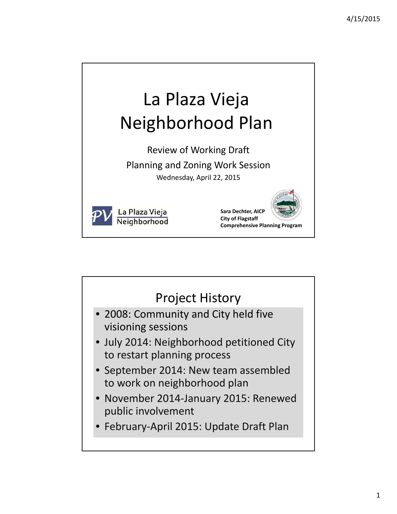

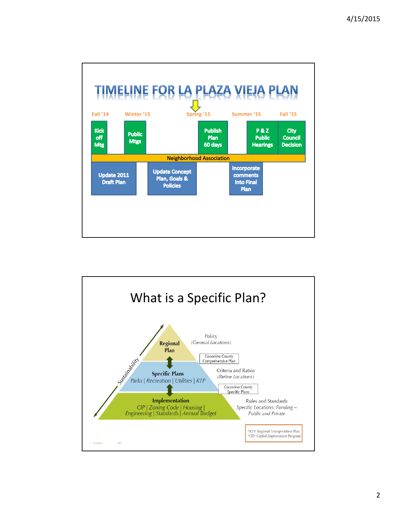

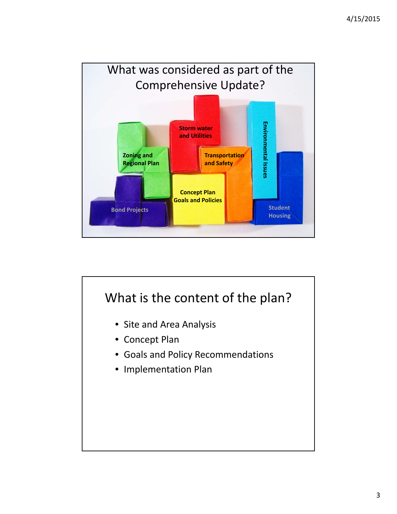

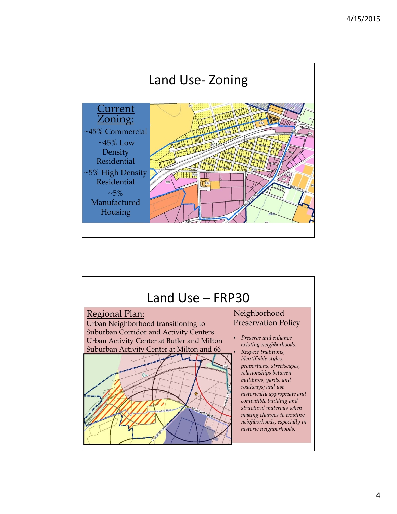

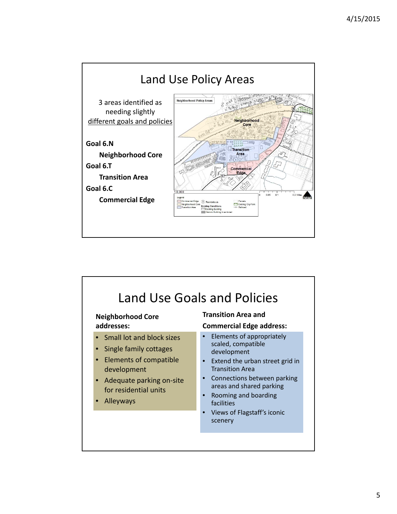

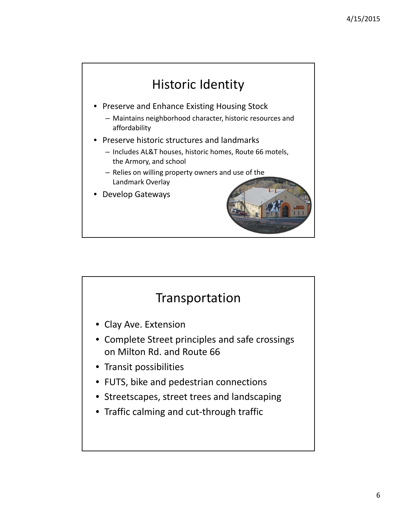

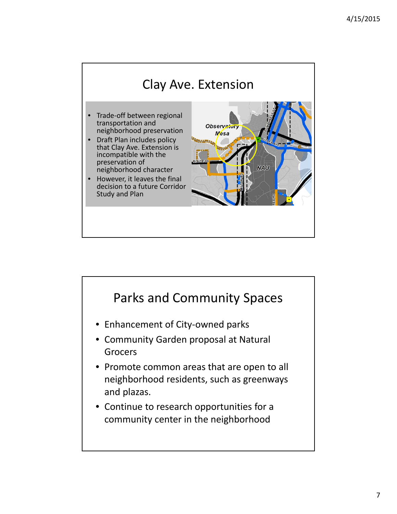

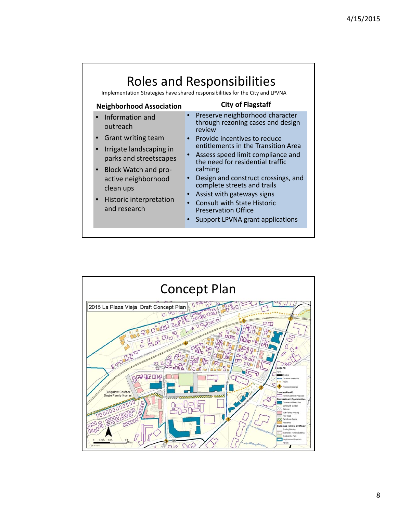

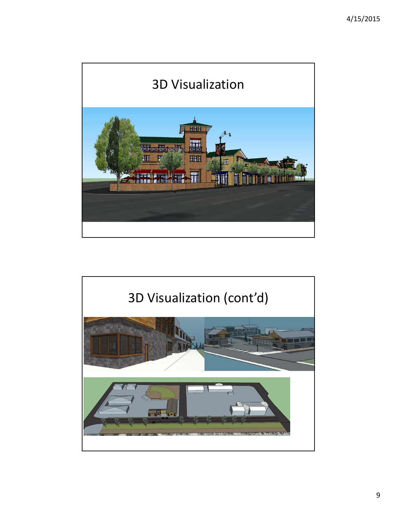